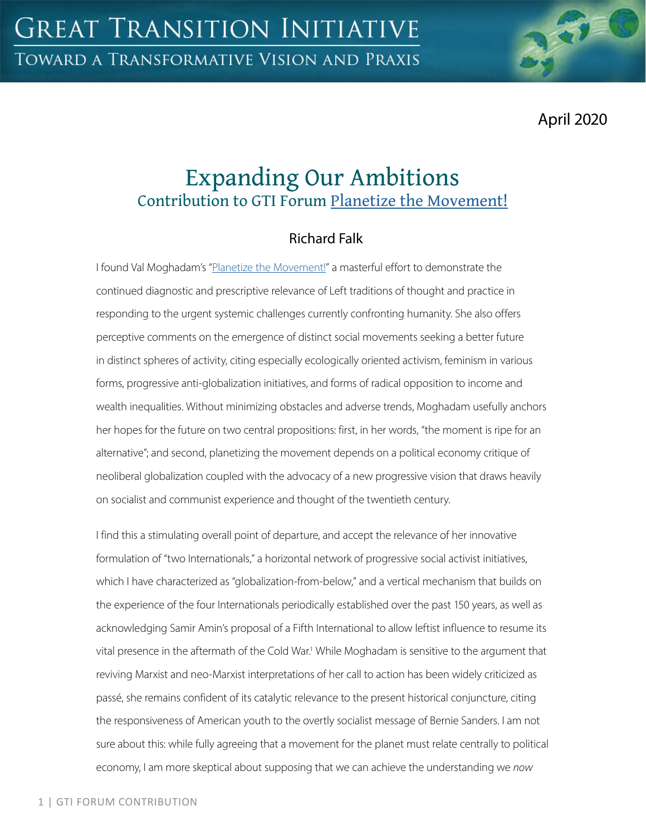April 2020

# Expanding Our Ambitions Contribution to GTI Forum [Planetize the Movement!](https://greattransition.org/gti-forum/planetize-the-movement)

## Richard Falk

I found Val Moghadam's ["Planetize the Movement!](https://greattransition.org/gti-forum/planetize-movement-moghadam)" a masterful effort to demonstrate the continued diagnostic and prescriptive relevance of Left traditions of thought and practice in responding to the urgent systemic challenges currently confronting humanity. She also offers perceptive comments on the emergence of distinct social movements seeking a better future in distinct spheres of activity, citing especially ecologically oriented activism, feminism in various forms, progressive anti-globalization initiatives, and forms of radical opposition to income and wealth inequalities. Without minimizing obstacles and adverse trends, Moghadam usefully anchors her hopes for the future on two central propositions: first, in her words, "the moment is ripe for an alternative"; and second, planetizing the movement depends on a political economy critique of neoliberal globalization coupled with the advocacy of a new progressive vision that draws heavily on socialist and communist experience and thought of the twentieth century.

I find this a stimulating overall point of departure, and accept the relevance of her innovative formulation of "two Internationals," a horizontal network of progressive social activist initiatives, which I have characterized as "globalization-from-below," and a vertical mechanism that builds on the experience of the four Internationals periodically established over the past 150 years, as well as acknowledging Samir Amin's proposal of a Fifth International to allow leftist influence to resume its vital presence in the aftermath of the Cold War.<sup>1</sup> While Moghadam is sensitive to the argument that reviving Marxist and neo-Marxist interpretations of her call to action has been widely criticized as passé, she remains confident of its catalytic relevance to the present historical conjuncture, citing the responsiveness of American youth to the overtly socialist message of Bernie Sanders. I am not sure about this: while fully agreeing that a movement for the planet must relate centrally to political economy, I am more skeptical about supposing that we can achieve the understanding we *now*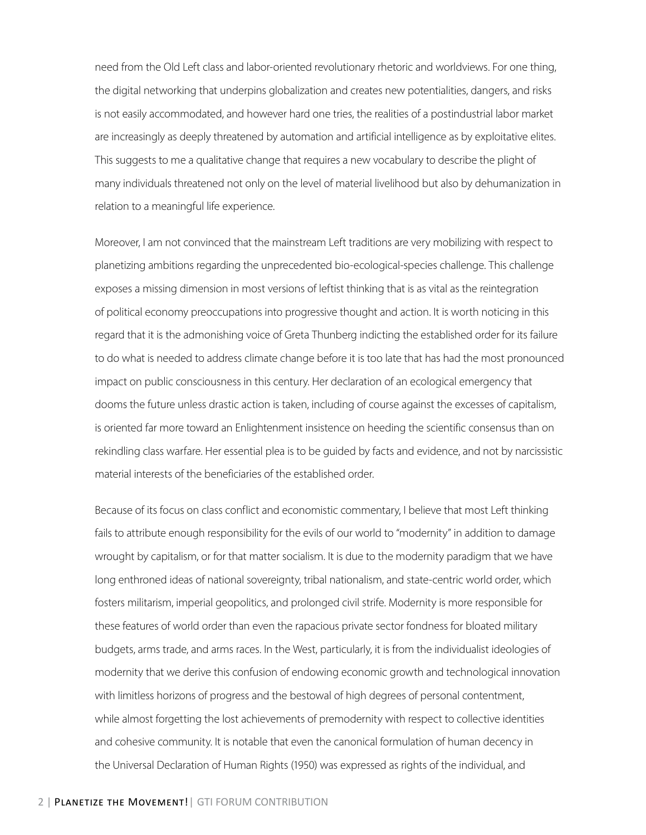need from the Old Left class and labor-oriented revolutionary rhetoric and worldviews. For one thing, the digital networking that underpins globalization and creates new potentialities, dangers, and risks is not easily accommodated, and however hard one tries, the realities of a postindustrial labor market are increasingly as deeply threatened by automation and artificial intelligence as by exploitative elites. This suggests to me a qualitative change that requires a new vocabulary to describe the plight of many individuals threatened not only on the level of material livelihood but also by dehumanization in relation to a meaningful life experience.

Moreover, I am not convinced that the mainstream Left traditions are very mobilizing with respect to planetizing ambitions regarding the unprecedented bio-ecological-species challenge. This challenge exposes a missing dimension in most versions of leftist thinking that is as vital as the reintegration of political economy preoccupations into progressive thought and action. It is worth noticing in this regard that it is the admonishing voice of Greta Thunberg indicting the established order for its failure to do what is needed to address climate change before it is too late that has had the most pronounced impact on public consciousness in this century. Her declaration of an ecological emergency that dooms the future unless drastic action is taken, including of course against the excesses of capitalism, is oriented far more toward an Enlightenment insistence on heeding the scientific consensus than on rekindling class warfare. Her essential plea is to be guided by facts and evidence, and not by narcissistic material interests of the beneficiaries of the established order.

Because of its focus on class conflict and economistic commentary, I believe that most Left thinking fails to attribute enough responsibility for the evils of our world to "modernity" in addition to damage wrought by capitalism, or for that matter socialism. It is due to the modernity paradigm that we have long enthroned ideas of national sovereignty, tribal nationalism, and state-centric world order, which fosters militarism, imperial geopolitics, and prolonged civil strife. Modernity is more responsible for these features of world order than even the rapacious private sector fondness for bloated military budgets, arms trade, and arms races. In the West, particularly, it is from the individualist ideologies of modernity that we derive this confusion of endowing economic growth and technological innovation with limitless horizons of progress and the bestowal of high degrees of personal contentment, while almost forgetting the lost achievements of premodernity with respect to collective identities and cohesive community. It is notable that even the canonical formulation of human decency in the Universal Declaration of Human Rights (1950) was expressed as rights of the individual, and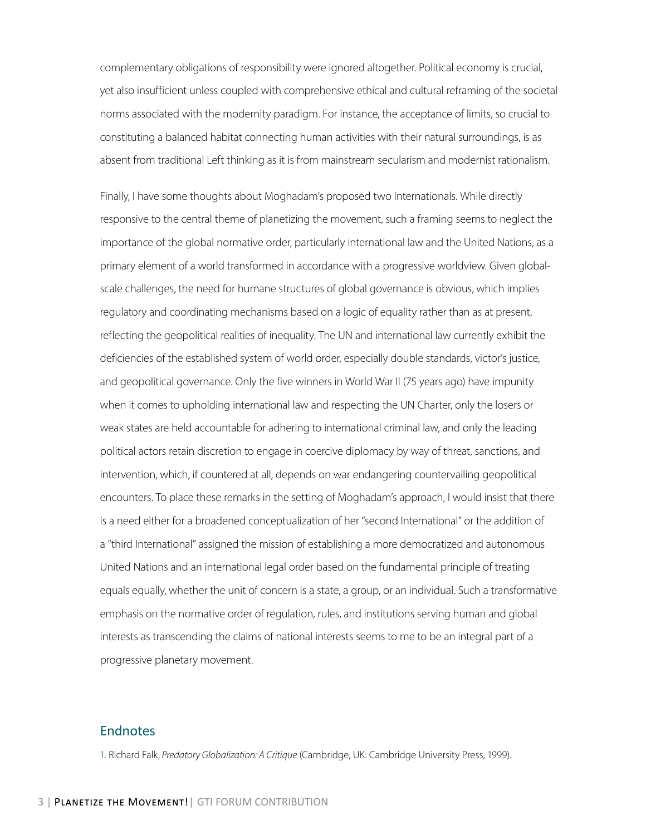complementary obligations of responsibility were ignored altogether. Political economy is crucial, yet also insufficient unless coupled with comprehensive ethical and cultural reframing of the societal norms associated with the modernity paradigm. For instance, the acceptance of limits, so crucial to constituting a balanced habitat connecting human activities with their natural surroundings, is as absent from traditional Left thinking as it is from mainstream secularism and modernist rationalism.

Finally, I have some thoughts about Moghadam's proposed two Internationals. While directly responsive to the central theme of planetizing the movement, such a framing seems to neglect the importance of the global normative order, particularly international law and the United Nations, as a primary element of a world transformed in accordance with a progressive worldview. Given globalscale challenges, the need for humane structures of global governance is obvious, which implies regulatory and coordinating mechanisms based on a logic of equality rather than as at present, reflecting the geopolitical realities of inequality. The UN and international law currently exhibit the deficiencies of the established system of world order, especially double standards, victor's justice, and geopolitical governance. Only the five winners in World War II (75 years ago) have impunity when it comes to upholding international law and respecting the UN Charter, only the losers or weak states are held accountable for adhering to international criminal law, and only the leading political actors retain discretion to engage in coercive diplomacy by way of threat, sanctions, and intervention, which, if countered at all, depends on war endangering countervailing geopolitical encounters. To place these remarks in the setting of Moghadam's approach, I would insist that there is a need either for a broadened conceptualization of her "second International" or the addition of a "third International" assigned the mission of establishing a more democratized and autonomous United Nations and an international legal order based on the fundamental principle of treating equals equally, whether the unit of concern is a state, a group, or an individual. Such a transformative emphasis on the normative order of regulation, rules, and institutions serving human and global interests as transcending the claims of national interests seems to me to be an integral part of a progressive planetary movement.

#### **Endnotes**

1. Richard Falk, *Predatory Globalization: A Critique* (Cambridge, UK: Cambridge University Press, 1999).